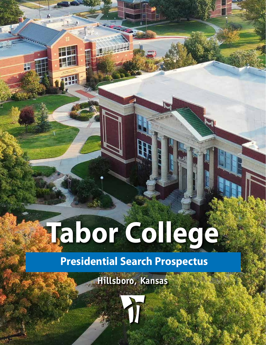# **Tabor College**

Ŧ

## **Presidential Search Prospectus**

**Hillsboro, Kansas**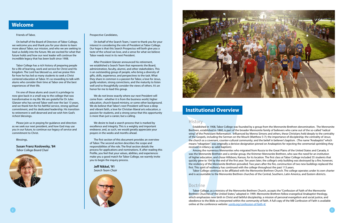#### Friends of Tabor,

On behalf of the Board of Directors of Tabor College, we welcome you and thank you for your desire to learn more about Tabor, our mission, and who we are seeking to lead us boldly into the future. We are excited for what that future holds and how our next leader will continue the incredible legacy that has been built since 1908.

Tabor College has a rich history of preparing people for a life of learning, work and service for Christ and His kingdom. The Lord has blessed us, and we praise Him for how he has led so many students to seek a Christ centered education at Tabor. It's so rewarding to talk with alums who consider their time at Tabor one of the best experiences of their life.

I'm one of those alums and count it a privilege to now give back in a small way to the college that was transformative in my life. We are grateful for Dr Jules Glanzer who has served Tabor well over the last 13 years, and we thank him for his faithful service, strong spiritual commitment, and his dedicated leadership. His transition to retirement is well deserved and we wish him God's richest blessings.

Please join us in praying for guidance and direction as we seek our next president, and how God may use you in our future, to continue our legacy of service and commitment to Christ.

Blessings,

**Susan Franz Koslowsky, '84** *Tabor College Board Chair*



Established in 1908, Tabor College was founded by a group from the Mennonite Brethren denomination. The Mennonite Brethren, established in 1860, is part of the broader Mennonite family of believers who came out of the so-called "radical wing" of the Protestant Reformation. Influenced by Menno Simons and others, these Christians held deeply to the centrality of the Gospels, including the Sermon on the Mount (Matthew 5-7); the importance of discipleship; the centrality of Jesus; the church as a covenant, counter-cultural community; and the belief in believer's baptism. (The name "Anabaptist" which means "rebaptizer", was originally a derisive designation pinned on Anabaptists for rejecting the ceremonial sprinkling they received in infancy as valid baptism).

Among the numerous Mennonites who migrated from Russia to the Great Plains of the United States and Canada, it was the Mennonite Brethren and a similar group, the Krimmer Mennonite Brethren, who saw the need for an institution of higher education, and chose Hillsboro, Kansas, for its location. The first class at Tabor College included 35 students that quickly grew to 104 by the end of the first year. Ten years later, the college's only building was destroyed by a fire; however, the resiliency of the Mennonite Brethren prevailed. Two years after the fire, construction of two new buildings replaced the first. This spirit of resiliency has continued with the college throughout the past 113 years.

Tabor College continues to be affiliated with the Mennonite Brethren Church. The college operates under its own charter and is accountable to the Mennonite Brethren churches of the Central, Southern, Latin America, and Eastern districts.

#### Doctrine

Tabor College, as a ministry of the Mennonite Brethren Church, accepts the "Confession of Faith of the Mennonite Brethren Churches of the United States," adopted in 1999. Mennonite Brethren follow evangelical Anabaptist theology, which emphasizes new birth in Christ and faithful discipleship, a mission of personal evangelism and social justice, and obedience to the Bible as interpreted within the community of faith. A full copy of the MB Confession of Faith is available online at the conference website: [usmb.org/confession-of-faith-4/](http://usmb.org/confession-of-faith-4/)

#### Prospective Candidates,

On behalf of the Search Team, I want to thank you for your interest in considering the role of President at Tabor College. Our hope is that this Search Prospectus will both give you a taste of the school we love, and a sense for what we believe Tabor needs most in its next President.

After President Glanzer announced his retirement, we established a Search Team that represents the Board, administration, faculty, alumni, and other stakeholders. This is an outstanding group of people, who bring a diversity of gifts, skills, experience, and perspectives to the task. What they share in common is a passion for Tabor, a love for Jesus, godly wisdom, strong convictions, and the maturity to listen well and to thoughtfully consider the views of others. It's an honor for me to lead this group.

We do not know exactly where our next President will come from - whether it is from the business world, higher education, church-based ministry, or some other background. We do believe that Tabor's next President will have a deep and vibrant faith, a love for Christian liberal arts education, a passion for students, and a strong sense that this opportunity is more than just a career, but a calling.

We desire to lead a search process that is marked by excellence and integrity. This is a weighty and important endeavor, and, as such, we would greatly appreciate your prayers in the weeks and months ahead.

The first section of this document provides an overview of Tabor. The second section describes the scope and responsibilities of the role. The final section details the process for applications and nominations. If, after reading this Profile, you feel that your values, abilities, and experiences make you a good match for Tabor College, we warmly invite you to begin the inquiry process.

**Jeff Nikkel, '91** *Search Team Chair*





#### **Institutional Overview**

#### **History**

### **Welcome**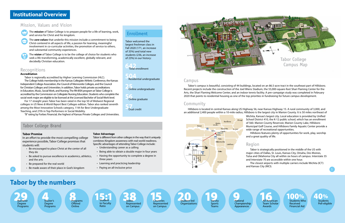#### Mission, Values and Vision



The *mission* of Tabor College is to prepare people for a life of learning, work, and service for Christ and his kingdom.

The *core values* that underlie this mission include a commitment to being Christ-centered in all aspects of life, a passion for learning, meaningful involvement in co-curricular activities, the promotion of service to others, and substantial community experiences.



The **v***ision* of Tabor College is to be the college of choice for students who seek a life-transforming, academically excellent, globally relevant, and decidedly Christian education.

#### **Recognitions**

#### **Accreditation**

Tabor is regionally accredited by Higher Learning Commission (HLC). The College holds membership in the Kansas Collegiate Athletic Conference, the Kansas Independent College Association, the Council of Mennonite Colleges, and the Council for Christian Colleges and Universities. In addition, Tabor holds private accreditations in Education, Music, Social Work, and Nursing. The RN-BSN program at Tabor College is accredited by the Commission on Collegiate Nursing Education. Students who complete the social work major are eligible to be licensed at the Licensed Bachelor of Social Work level.

For 17 straight years Tabor has been rated in the top 50 of Midwest Regional colleges in *US News & World Report* Best Colleges edition. Tabor also ranked seventh among the Most Innovative Schools category, 11th for Best Undergraduate Teaching, and 27th in Top Performers in Social Mobility.

> **Students** Pell-eligible

"B" rating by Forbes Financial, the highest of Kansas Private Colleges and Universities.

#### Campus

Tabor's campus is beautiful, consisting of 44 buildings, located on an 86.5-acre tract in the southeast part of Hillsboro. Recent projects include the construction of the Joel Wiens Stadium, the 55,000-square-foot Shari Flaming Center for the Arts, the Shari Flaming Welcome Center, and an indoor tennis facility. A pre-campaign study was completed in February 2020 that points to residential housing as one of the top priorities in fundraising for future campus development.

#### Community

## **Tabor by the numbers**



Hillsboro is located in central Kansas along US Highway 56, near Kansas Highway 15. A rural community of 3,000, and an additional 2,400 people within a 10-mile radius, Hillsboro is the largest city in Marion County. It is 50 miles northeast of Wichita, Kansas's largest city. Local education is provided by Unified School District 410, the K-12 public school, which has an enrollment of 560. Marion County Reservoir, Marion County Lake, Hillsboro Municipal Golf Course, and Hillsboro Family Aquatic Center provide a **Kansas City** wide range of recreational opportunities.

> All American Team Scholar Awards

Students Who Received Financial Aid



Hillsboro features plenty of opportunities for work, play, worship and a great quality of life.

Tabor is strategically positioned in the middle of the US with major cities of Dallas, St. Louis, Kansas City, Omaha, Des Moines, Tulsa and Oklahoma City all within six hours of campus. Interstate 35 and Interstate 70 are accessible within one hour.

The closest airports with multiple carriers include Wichita (ICT) and Kansas City (MCI).



## **Institutional Overview**

**642** Total enrollment

**504** Residential undergraduate

**25** Online undergraduate

**56** Online graduate

**57** Dual credit

Tabor welcomed the largest freshman class in Fall 2020 (171, an increase of 35%) and total new students (236, an increase of 23%) in our history:

#### Enrollment

#### **Tabor Promise**

In an effort to provide the most compelling college experience possible, Tabor College promises that students will:

- Be encouraged to place Christ at the center of all they do
- Be asked to pursue excellence in academics, athletics, and the arts
- Be prepared for the real world
- Be made aware of their place in God's kingdom

#### **Tabor Advantage**

Tabor is different from other colleges in the way that it uniquely combines Kingdom awareness with real-world readiness. Specific advantages of attending Tabor College include:

- Understanding career as a calling
- Being able to obtain a double major in four years
- Having the opportunity to complete a degree in three years
- Learning and practicing leadership
- Paying an all-inclusive price

#### Tabor College Brand

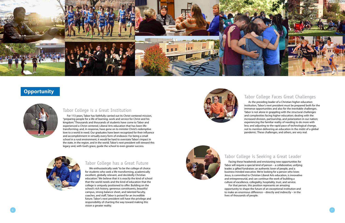#### Tabor College has a Great Future

We enthusiastically seek "to be the college of choice for students who seek a life-transforming, academically excellent, globally relevant, and decidedly Christian education." We believe that it is exactly the kind of school that the world needs and the kind of education that the college is uniquely positioned to offer. Building on the school's rich history, generous constituents, beautiful campus, strong balance sheet, and talented faculty, coaches, and staff, Tabor is poised for an incredible future. Tabor's next president will have the privilege and responsibility of charting the way toward making this vision a greater reality.



#### Tabor College is a Great Institution

For 113 years, Tabor has faithfully carried out its Christ-centered mission, "preparing people for a life of learning, work and service for Christ and his kingdom." Thousands and thousands of students have come to Tabor and experienced a Christ-centered, Liberal Arts education that has been lifetransforming; and, in response, have gone on to minister Christ's redemptive love to a world in need. Our graduates have been recognized for their influence and accomplishment in virtually every form of endeavor. For being a small school in a rural environment, it would be hard to overstate Tabor's impact in the state, in the region, and in the world. Tabor's next president will steward this legacy and, with God's grace, guide the school to even greater success.



## Tabor College is Seeking a Great Leader

Facing these headwinds and envisioning new opportunities for For that person, this position represents an amazing

Tabor will require a special kind of person – a collaborative, unifying leader; a gifted fundraiser; an authentic lover of people, and a business-minded executive. We're looking for a person who loves Jesus, is committed to Christian Liberal Arts education, is innovative and entrepreneurial, and can continue the work of building a culture of excellence, collegiality, hospitality, trust, and service. opportunity to shape the future of an exceptional institution and to make an enormous difference – directly and indirectly – in the lives of thousands of people.

#### Tabor College Faces Great Challenges

As the presiding leader of a Christian higher education institution, Tabor's next president must be prepared both for the immense opportunities and also for the inevitable challenges. Tabor is not alone in grappling with the structural challenges and complexities facing higher education; dealing with the increased division, partisanship, and polarization in our nation; experiencing the familiar reality of needing to do more with less; and adjusting to the rapid pace of technological change, not to mention delivering an education in the midst of a global pandemic. These challenges, and others, are very real.



#### **Opportunity**

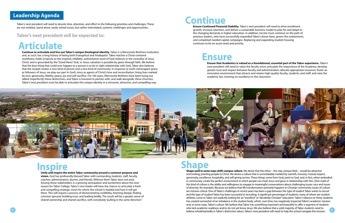Tabor's next president will need to devote time, attention, and effort to the following priorities and challenges. These are not isolated, stand-alone, easily solved issues, but rather interrelated, systemic challenges and opportunities.

**Tabor's next president will be expected to:** 

**Ensure that Academics is valued as a foundational, essential part of the Tabor experience.** Tabor's next president will need to value the faculty voice; articulate the importance of the Academy; develop greater trust and respect between faculty and administration; allocate appropriate resources; foster an innovative environment that attracts and retains high-quality faculty, students, and staff; and raise the academic bar, insisting on excellence in the classroom.



## **Leadership Agenda**

8 9 believe wholeheartedly in Tabor's distinctive values. Tabor's next president will need to help the school navigate this tension. **Shape (and in some ways shift) campus culture.** We desire that the ethos – the way campus feels – would be attractive and inviting, pointing people to Christ. We desire a culture that is unmistakably marked by warmth, honesty, mutual respect, generosity, excellence, hospitality, and self-giving service. These things come from God, point to God, and, in fact, when embodied in community, create the perfect environment in which people can meet Jesus and grow in relationship with him. (One mark of this kind of culture is the ability and willingness to engage in meaningful conversations about challenging issues: race and issues of diversity, for example.) Because we believe that life transformation primarily happens in Christian community, issues of culture are mission-critical. One of Tabor's challenges in recent years has been a gap between the type of student Tabor wants to recruit and the type of student Tabor has been successful in recruiting. A significant percentage of students, many of whom are student athletes, come to Tabor not explicitly looking for an "excellent" or "decidedly Christian" education. Tabor's reliance on these students has created somewhat of an imbalance in the student body, which, over time, has negatively impacted Tabor's academic mission and, in some ways, Tabor's culture. We believe that Tabor has something important and beautiful to offer a segment of students who lack academic readiness and/or do not yet know Jesus. We also believe that a solid majority of Tabor students need to

**Ensure Continued Financial Stability.** Tabor's next president will need to drive enrollment growth, increase retention, and deliver a sustainable business model to plan for and adapt to the changing demands in higher education. In addition, he/she must continue on the path of previous leaders, who have successfully expanded Tabor's donor base, grown the endowment, and completed needed capital campaigns. Replacing and expanding student housing continues to be an acute need and priority.

**Continue to articulate and live out Tabor's unique theological identity.** Tabor is a Mennonite Brethren institution and, as such, has a long history of being both Evangelical and Anabaptist. Tabor teaches a Christ-centered worldview; holds Scripture as the inspired, infallible, authoritative word of God; believes in the centrality of Jesus Christ; and is grounded by the "Good News" that, in Jesus, salvation is possible by grace through faith. We believe that the best thing that could ever happen to a person is to be in right relationship with God. Tabor also believes that the Gospel creates a new kind of person and a new kind of community. In response to God's extravagant grace, as followers of Jesus, we play our part in God's story as agents of Christ's love and reconciliation, living lives marked by love, generosity, fidelity, peace, joy and self-sacrifice. For 160 years, Mennonite Brethren have been living out (albeit imperfectly) these distinctives, and Tabor is honored to partner with, and walk alongside, these churches. Tabor's next president must be able to articulate this unique identity in a winsome, attractive, and compelling way.

# **Articulate**

# **Inspire Shape**

## **Ensure**

# **Continue**

**Unify and inspire the entire Tabor community around a common purpose and** 

**vision.** God has profoundly blessed Tabor with outstanding students, staff, faculty, coaches, administrators, alumni, and friends. Without them Tabor does not exist. Among these stakeholders is a growing anticipation and excitement about the next season for Tabor College. Tabor's next leader will have the chance to articulate a fresh and compelling strategic vision for where the school is headed and how it will get there. This will require a process of demonstrating credibility, listening deeply, finding common ground, building trust, and leading boldly. The result will be a greater sense of shared-ownership and shared-sacrifice, with everybody "pulling in the same direction."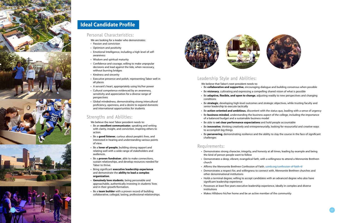#### Personal Characteristics:

We are looking for a leader who demonstrates:

- Passion and conviction
- 
- Optimism and positivity<br>• Emotional Intelligence, including a high level of selfawareness
- Wisdom and spiritual maturity
- Confidence and courage, willing to make unpopular decisions and lead against the tide, when necessary, without burning bridges
- Kindness and sincerity
- Executive presence and polish, representing Tabor well in all places
- A servant's heart, appropriately using his/her power
- Cultural competence evidenced by an awareness, sensitivity and appreciation for a diverse range of perspectives
- Global mindedness, demonstrating strong intercultural proficiency, openness, and a desire to expand domestic and international opportunities for students

#### Strengths and Abilities:

We believe the next Tabor president needs to:

- Be an **excellent communicator**, speaking and writing with clarity, insight, and conviction, inspiring others to action.
- Be a **good listener**, curious about people's lives, and interested in hearing and understanding various points of view.
- Be a **lover of people**, building strong rapport and relating well with a wide range of stakeholders and audiences.
- Be a **proven fundraiser**, able to make connections, sustain relationships, and develop resources needed for Tabor to thrive.
- Bring significant **executive leadership experience** and demonstrate the **ability to lead a complex organization**.
- **Genuinely love students**, being personable and approachable, authentically investing in students' lives and in their growth/formation.
- Be a **team builder** with a proven record of building collaborative, collegial, lasting, professional relationships.



#### Leadership Style and Abilities:

We believe that Tabor's next president needs to:

• Be **collaborative and supportive**, encouraging dialogue and building consensus when possible • Be **visionary**, cultivating and expressing a compelling shared vision of what is possible • Be **adaptive, flexible, and open to change**, adjusting readily to new perspectives and changing

• Be **strategic**, developing high-level outcomes and strategic objectives, while trusting faculty and

- 
- 
- conditions
- senior leadership to execute tactically
- Be **action-oriented and ambitious**, discontent with the status quo, leading with a sense of urgency<br>• Be **business-minded**, understanding the business aspect of the college, including the importance of a balanced budget and a sustainable business model
- 
- Be able to **set clear performance expectations** and hold people accountable
- Be **innovative**, thinking creatively and entrepreneurially, looking for resourceful and creative ways to accomplish big things
- challenges

• Be **persevering**, demonstrating resilience and the ability to stay the course in the face of significant

#### Requirements:

• Demonstrates strong character, integrity, and honesty at all times, leading by example and being

• Demonstrates a deep, vibrant, evangelical faith, with a willingness to attend a Mennonite Brethren

• Demonstrates a respect for, and willingness to connect with, Mennonite Brethren churches and

- the kind of person people want to follow
- church
- Affirms the Mennonite Brethren Confession of Faith. [usmb.org/confession-of-faith-4/](https://usmb.org/confession-of-faith-4/)
- other denominational institutions
- significant leadership experience
- institutions
- Makes Hillsboro his/her home and be an active member of the community



• Holds a terminal degree; willing to accept candidates with an advanced degree who also have

• Possesses at least five years executive leadership experience, ideally in complex and diverse

## **Ideal Candidate Profile**